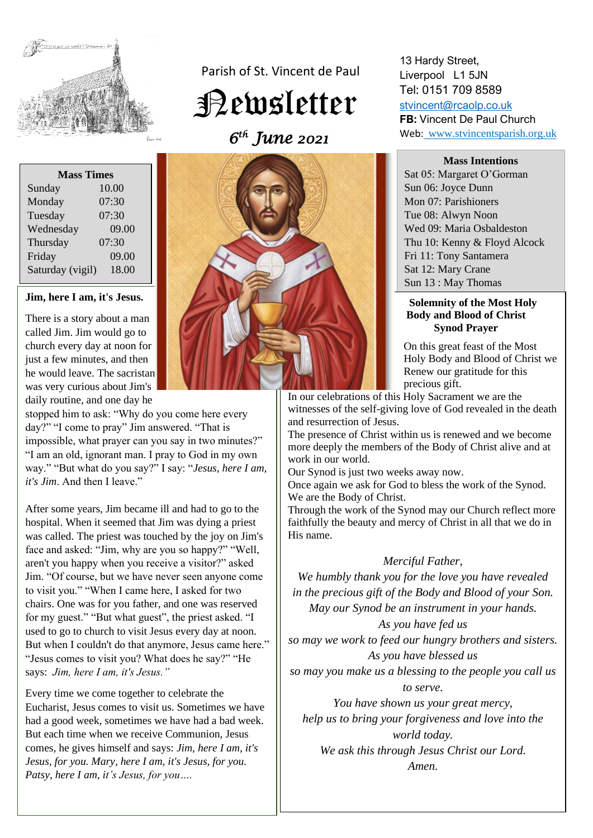

Parish of St. Vincent de Paul

Newsletter

 *6 th June 2021* 

| <b>Mass Times</b> |       |
|-------------------|-------|
| Sunday            | 10.00 |
| Monday            | 07:30 |
| Tuesday           | 07:30 |
| Wednesday         | 09.00 |
| Thursday          | 07:30 |
| Friday            | 09.00 |
| Saturday (vigil)  | 18.00 |
|                   |       |

#### **Jim, here I am, it's Jesus.**

There is a story about a man called Jim. Jim would go to church every day at noon for just a few minutes, and then he would leave. The sacristan was very curious about Jim's daily routine, and one day he

stopped him to ask: "Why do you come here every day?" "I come to pray" Jim answered. "That is impossible, what prayer can you say in two minutes?" "I am an old, ignorant man. I pray to God in my own way." "But what do you say?" I say: "*Jesus, here I am, it's Jim*. And then I leave."

After some years, Jim became ill and had to go to the hospital. When it seemed that Jim was dying a priest was called. The priest was touched by the joy on Jim's face and asked: "Jim, why are you so happy?" "Well, aren't you happy when you receive a visitor?" asked Jim. "Of course, but we have never seen anyone come to visit you." "When I came here, I asked for two chairs. One was for you father, and one was reserved for my guest." "But what guest", the priest asked. "I used to go to church to visit Jesus every day at noon. But when I couldn't do that anymore, Jesus came here." "Jesus comes to visit you? What does he say?" "He says: *Jim, here I am, it's Jesus."*

Every time we come together to celebrate the Eucharist, Jesus comes to visit us. Sometimes we have had a good week, sometimes we have had a bad week. But each time when we receive Communion, Jesus comes, he gives himself and says: *Jim, here I am, it's Jesus, for you. Mary, here I am, it's Jesus, for you. Patsy, here I am, it's Jesus, for you….*



13 Hardy Street, Liverpool L1 5JN Tel: 0151 709 8589 [stvincent@rcaolp.co.uk](mailto:stvincent@rcaolp.co.uk)

**FB:** Vincent De Paul Church Web: www.stvincentsparish.org.uk

#### **Mass Intentions**

Sat 05: Margaret O'Gorman Sun 06: Joyce Dunn Mon 07: Parishioners Tue 08: Alwyn Noon Wed 09: Maria Osbaldeston Thu 10: Kenny & Floyd Alcock Fri 11: Tony Santamera Sat 12: Mary Crane Sun 13 : May Thomas

#### **Solemnity of the Most Holy Body and Blood of Christ Synod Prayer**

 On this great feast of the Most Holy Body and Blood of Christ we Renew our gratitude for this precious gift.

In our celebrations of this Holy Sacrament we are the witnesses of the self-giving love of God revealed in the death and resurrection of Jesus.

The presence of Christ within us is renewed and we become more deeply the members of the Body of Christ alive and at work in our world.

Our Synod is just two weeks away now.

Once again we ask for God to bless the work of the Synod. We are the Body of Christ.

Through the work of the Synod may our Church reflect more faithfully the beauty and mercy of Christ in all that we do in His name.

## *Merciful Father,*

*We humbly thank you for the love you have revealed in the precious gift of the Body and Blood of your Son. May our Synod be an instrument in your hands.*

## *As you have fed us*

*so may we work to feed our hungry brothers and sisters. As you have blessed us* 

*so may you make us a blessing to the people you call us to serve.*

*You have shown us your great mercy, help us to bring your forgiveness and love into the world today.*

*We ask this through Jesus Christ our Lord. Amen.*